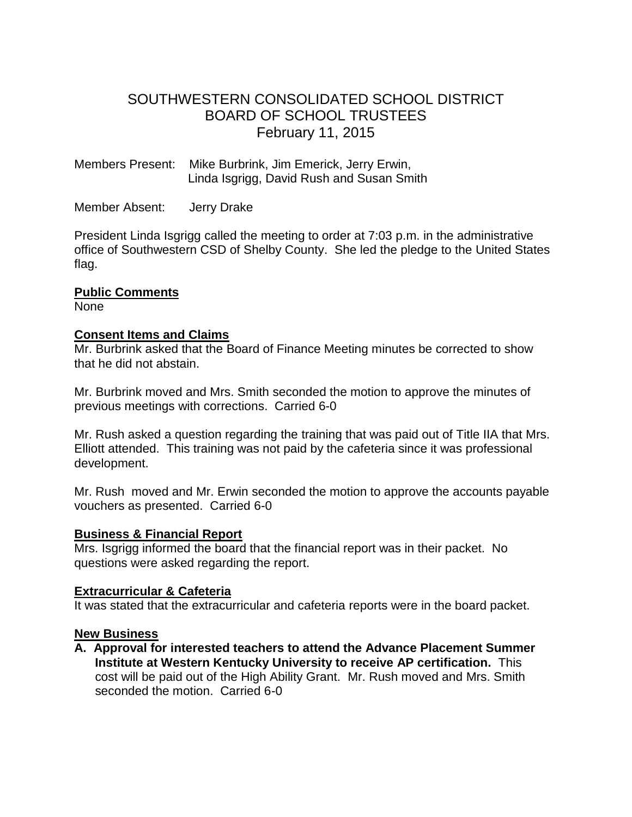# SOUTHWESTERN CONSOLIDATED SCHOOL DISTRICT BOARD OF SCHOOL TRUSTEES February 11, 2015

Members Present: Mike Burbrink, Jim Emerick, Jerry Erwin, Linda Isgrigg, David Rush and Susan Smith

Member Absent: Jerry Drake

President Linda Isgrigg called the meeting to order at 7:03 p.m. in the administrative office of Southwestern CSD of Shelby County. She led the pledge to the United States flag.

## **Public Comments**

None

## **Consent Items and Claims**

Mr. Burbrink asked that the Board of Finance Meeting minutes be corrected to show that he did not abstain.

Mr. Burbrink moved and Mrs. Smith seconded the motion to approve the minutes of previous meetings with corrections. Carried 6-0

Mr. Rush asked a question regarding the training that was paid out of Title IIA that Mrs. Elliott attended. This training was not paid by the cafeteria since it was professional development.

Mr. Rush moved and Mr. Erwin seconded the motion to approve the accounts payable vouchers as presented. Carried 6-0

## **Business & Financial Report**

Mrs. Isgrigg informed the board that the financial report was in their packet. No questions were asked regarding the report.

## **Extracurricular & Cafeteria**

It was stated that the extracurricular and cafeteria reports were in the board packet.

## **New Business**

**A. Approval for interested teachers to attend the Advance Placement Summer Institute at Western Kentucky University to receive AP certification.** This cost will be paid out of the High Ability Grant.Mr. Rush moved and Mrs. Smith seconded the motion. Carried 6-0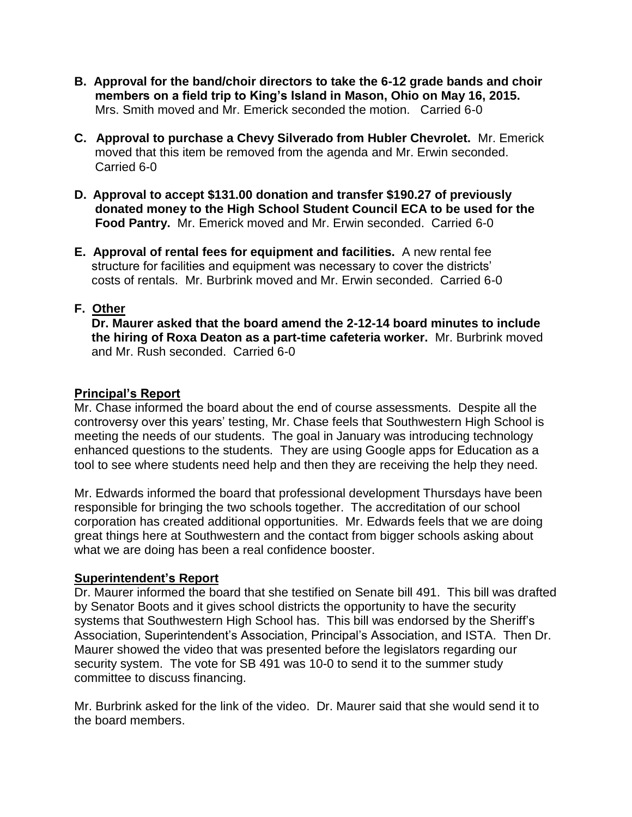- **B. Approval for the band/choir directors to take the 6-12 grade bands and choir members on a field trip to King's Island in Mason, Ohio on May 16, 2015.** Mrs. Smith moved and Mr. Emerick seconded the motion. Carried 6-0
- **C. Approval to purchase a Chevy Silverado from Hubler Chevrolet.** Mr. Emerick moved that this item be removed from the agenda and Mr. Erwin seconded. Carried 6-0
- **D. Approval to accept \$131.00 donation and transfer \$190.27 of previously donated money to the High School Student Council ECA to be used for the Food Pantry.** Mr. Emerick moved and Mr. Erwin seconded. Carried 6-0
- **E. Approval of rental fees for equipment and facilities.** A new rental fee structure for facilities and equipment was necessary to cover the districts' costs of rentals. Mr. Burbrink moved and Mr. Erwin seconded. Carried 6-0

# **F. Other**

 **Dr. Maurer asked that the board amend the 2-12-14 board minutes to include the hiring of Roxa Deaton as a part-time cafeteria worker.** Mr. Burbrink moved and Mr. Rush seconded. Carried 6-0

# **Principal's Report**

Mr. Chase informed the board about the end of course assessments. Despite all the controversy over this years' testing, Mr. Chase feels that Southwestern High School is meeting the needs of our students. The goal in January was introducing technology enhanced questions to the students. They are using Google apps for Education as a tool to see where students need help and then they are receiving the help they need.

Mr. Edwards informed the board that professional development Thursdays have been responsible for bringing the two schools together. The accreditation of our school corporation has created additional opportunities. Mr. Edwards feels that we are doing great things here at Southwestern and the contact from bigger schools asking about what we are doing has been a real confidence booster.

## **Superintendent's Report**

Dr. Maurer informed the board that she testified on Senate bill 491. This bill was drafted by Senator Boots and it gives school districts the opportunity to have the security systems that Southwestern High School has. This bill was endorsed by the Sheriff's Association, Superintendent's Association, Principal's Association, and ISTA. Then Dr. Maurer showed the video that was presented before the legislators regarding our security system. The vote for SB 491 was 10-0 to send it to the summer study committee to discuss financing.

Mr. Burbrink asked for the link of the video. Dr. Maurer said that she would send it to the board members.